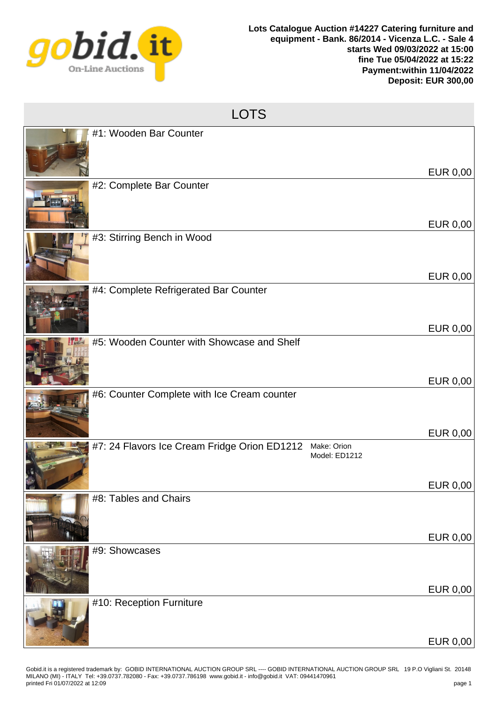

| <b>LOTS</b>                                                                  |                 |  |
|------------------------------------------------------------------------------|-----------------|--|
| #1: Wooden Bar Counter                                                       | <b>EUR 0,00</b> |  |
| #2: Complete Bar Counter                                                     | <b>EUR 0,00</b> |  |
| #3: Stirring Bench in Wood                                                   |                 |  |
| #4: Complete Refrigerated Bar Counter                                        | <b>EUR 0,00</b> |  |
| #5: Wooden Counter with Showcase and Shelf                                   | <b>EUR 0,00</b> |  |
| #6: Counter Complete with Ice Cream counter                                  | <b>EUR 0,00</b> |  |
| #7: 24 Flavors Ice Cream Fridge Orion ED1212<br>Make: Orion<br>Model: ED1212 | <b>EUR 0,00</b> |  |
| #8: Tables and Chairs                                                        | <b>EUR 0,00</b> |  |
| #9: Showcases                                                                | <b>EUR 0,00</b> |  |
| #10: Reception Furniture                                                     | <b>EUR 0,00</b> |  |
|                                                                              | <b>EUR 0,00</b> |  |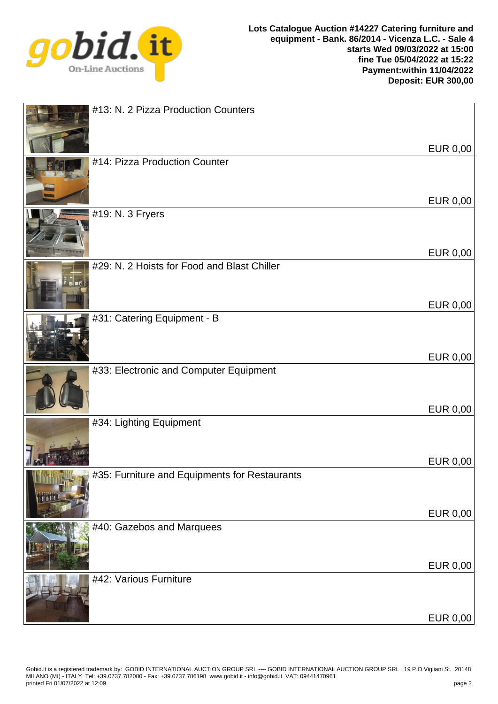

| #13: N. 2 Pizza Production Counters           |                 |
|-----------------------------------------------|-----------------|
| #14: Pizza Production Counter                 | <b>EUR 0,00</b> |
| #19: N. 3 Fryers                              | <b>EUR 0,00</b> |
| #29: N. 2 Hoists for Food and Blast Chiller   | <b>EUR 0,00</b> |
| #31: Catering Equipment - B                   | <b>EUR 0,00</b> |
| #33: Electronic and Computer Equipment        | <b>EUR 0,00</b> |
| #34: Lighting Equipment                       | <b>EUR 0,00</b> |
| #35: Furniture and Equipments for Restaurants | <b>EUR 0,00</b> |
| #40: Gazebos and Marquees                     | <b>EUR 0,00</b> |
| #42: Various Furniture                        | <b>EUR 0,00</b> |
|                                               | <b>EUR 0,00</b> |